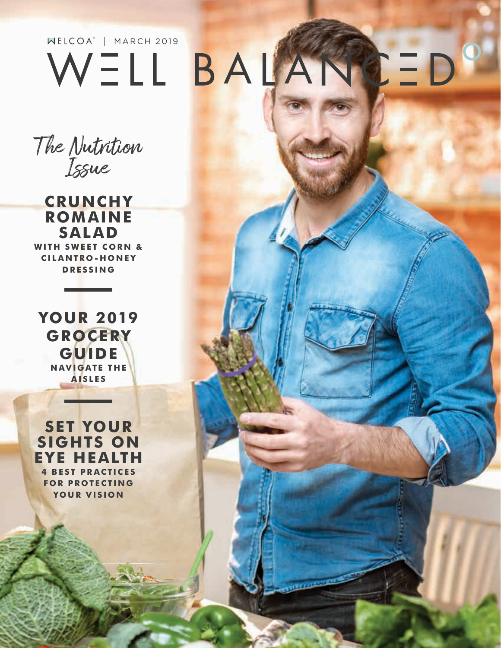## $NELCOA<sup>*</sup>$  | MARCH 2019 BALANCED WELL

The Nutrition Issue

**CRUNCHY ROMAINE SALAD WITH SWEET CORN & C I L A NTR O - H O N E Y DRESSING**

**YOUR 2019 GROCERY GUIDE NAVIGATE THE AISLES**

**SET YOUR SIGHTS ON EYE HEALTH 4 BEST PRACTICES FOR PROTECTING YOUR VISION**